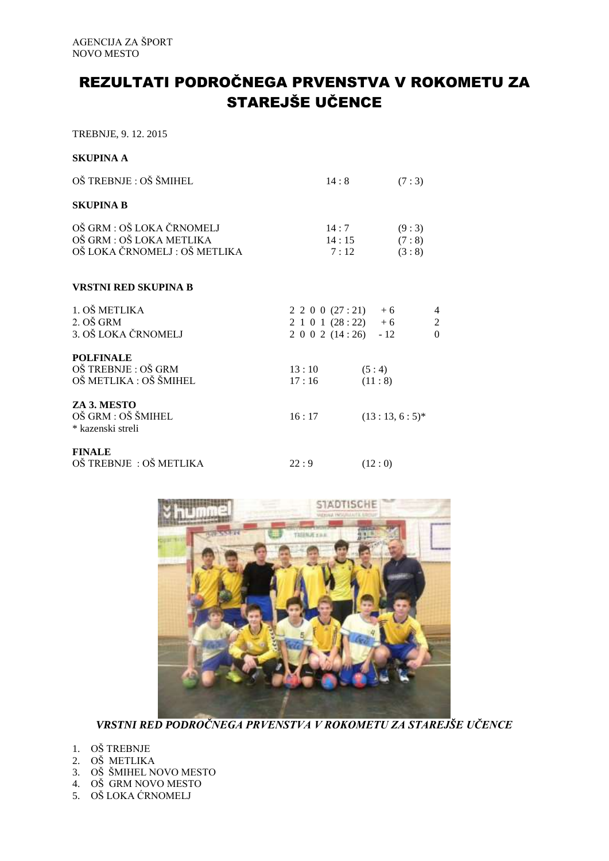## REZULTATI PODROČNEGA PRVENSTVA V ROKOMETU ZA STAREJŠE UČENCE

TREBNJE, 9. 12. 2015

## **SKUPINA A**

| OŠ TREBNJE : OŠ ŠMIHEL                                                                 | 14:8                                                                             | (7:3)                   |                    |
|----------------------------------------------------------------------------------------|----------------------------------------------------------------------------------|-------------------------|--------------------|
| <b>SKUPINA B</b>                                                                       |                                                                                  |                         |                    |
| OŠ GRM : OŠ LOKA ČRNOMELJ<br>OŠ GRM : OŠ LOKA METLIKA<br>OŠ LOKA ČRNOMELJ : OŠ METLIKA | 14:7<br>14:15<br>7:12                                                            | (9:3)<br>(7:8)<br>(3:8) |                    |
| <b>VRSTNI RED SKUPINA B</b>                                                            |                                                                                  |                         |                    |
| 1. OŠ METLIKA<br>2. OŠ GRM<br>3. OŠ LOKA ČRNOMELJ                                      | $2\ 2\ 0\ 0\ (27:21) + 6$<br>$2 1 0 1 (28:22) + 6$<br>$2\ 0\ 0\ 2\ (14:26)\ -12$ |                         | 4<br>2<br>$\Omega$ |
| <b>POLFINALE</b><br>OŠ TREBNJE: OŠ GRM<br>OŠ METLIKA : OŠ ŠMIHEL                       | 13:10<br>17:16                                                                   | (5:4)<br>(11:8)         |                    |
| ZA 3. MESTO<br>OŠ GRM : OŠ ŠMIHEL<br>* kazenski streli                                 | 16:17                                                                            | $(13:13, 6:5)^*$        |                    |
| <b>FINALE</b><br>OŠ TREBNJE: OŠ METLIKA                                                | 22:9                                                                             | (12:0)                  |                    |



*VRSTNI RED PODROČNEGA PRVENSTVA V ROKOMETU ZA STAREJŠE UČENCE*

- 1. OŠ TREBNJE
- 2. OŠ METLIKA
- 3. OŠ ŠMIHEL NOVO MESTO
- 4. OŠ GRM NOVO MESTO
- 5. OŠ LOKA ĆRNOMELJ